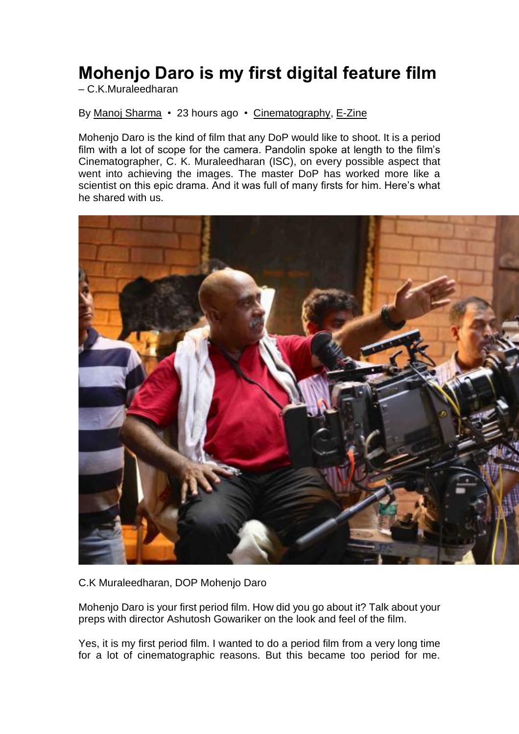## **Mohenjo Daro is my first digital feature film**

– C.K.Muraleedharan

By [Manoj Sharma](http://pandolin.com/author/manoj-sharma/) • 23 hours ago • [Cinematography,](http://pandolin.com/category/e-zine/cinematography/) [E-Zine](http://pandolin.com/category/e-zine/)

Mohenjo Daro is the kind of film that any DoP would like to shoot. It is a period film with a lot of scope for the camera. Pandolin spoke at length to the film's Cinematographer, C. K. Muraleedharan (ISC), on every possible aspect that went into achieving the images. The master DoP has worked more like a scientist on this epic drama. And it was full of many firsts for him. Here's what he shared with us.



C.K Muraleedharan, DOP Mohenjo Daro

Mohenjo Daro is your first period film. How did you go about it? Talk about your preps with director Ashutosh Gowariker on the look and feel of the film.

Yes, it is my first period film. I wanted to do a period film from a very long time for a lot of cinematographic reasons. But this became too period for me.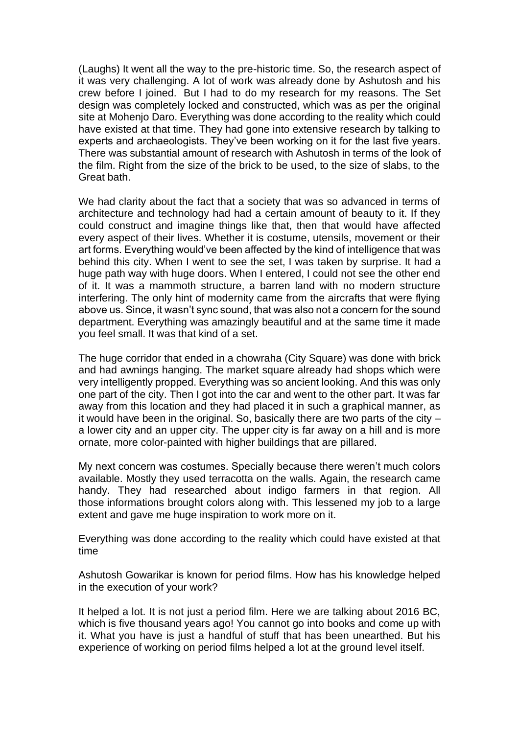(Laughs) It went all the way to the pre-historic time. So, the research aspect of it was very challenging. A lot of work was already done by Ashutosh and his crew before I joined. But I had to do my research for my reasons. The Set design was completely locked and constructed, which was as per the original site at Mohenjo Daro. Everything was done according to the reality which could have existed at that time. They had gone into extensive research by talking to experts and archaeologists. They've been working on it for the last five years. There was substantial amount of research with Ashutosh in terms of the look of the film. Right from the size of the brick to be used, to the size of slabs, to the Great bath.

We had clarity about the fact that a society that was so advanced in terms of architecture and technology had had a certain amount of beauty to it. If they could construct and imagine things like that, then that would have affected every aspect of their lives. Whether it is costume, utensils, movement or their art forms. Everything would've been affected by the kind of intelligence that was behind this city. When I went to see the set, I was taken by surprise. It had a huge path way with huge doors. When I entered, I could not see the other end of it. It was a mammoth structure, a barren land with no modern structure interfering. The only hint of modernity came from the aircrafts that were flying above us. Since, it wasn't sync sound, that was also not a concern for the sound department. Everything was amazingly beautiful and at the same time it made you feel small. It was that kind of a set.

The huge corridor that ended in a chowraha (City Square) was done with brick and had awnings hanging. The market square already had shops which were very intelligently propped. Everything was so ancient looking. And this was only one part of the city. Then I got into the car and went to the other part. It was far away from this location and they had placed it in such a graphical manner, as it would have been in the original. So, basically there are two parts of the city – a lower city and an upper city. The upper city is far away on a hill and is more ornate, more color-painted with higher buildings that are pillared.

My next concern was costumes. Specially because there weren't much colors available. Mostly they used terracotta on the walls. Again, the research came handy. They had researched about indigo farmers in that region. All those informations brought colors along with. This lessened my job to a large extent and gave me huge inspiration to work more on it.

Everything was done according to the reality which could have existed at that time

Ashutosh Gowarikar is known for period films. How has his knowledge helped in the execution of your work?

It helped a lot. It is not just a period film. Here we are talking about 2016 BC, which is five thousand years ago! You cannot go into books and come up with it. What you have is just a handful of stuff that has been unearthed. But his experience of working on period films helped a lot at the ground level itself.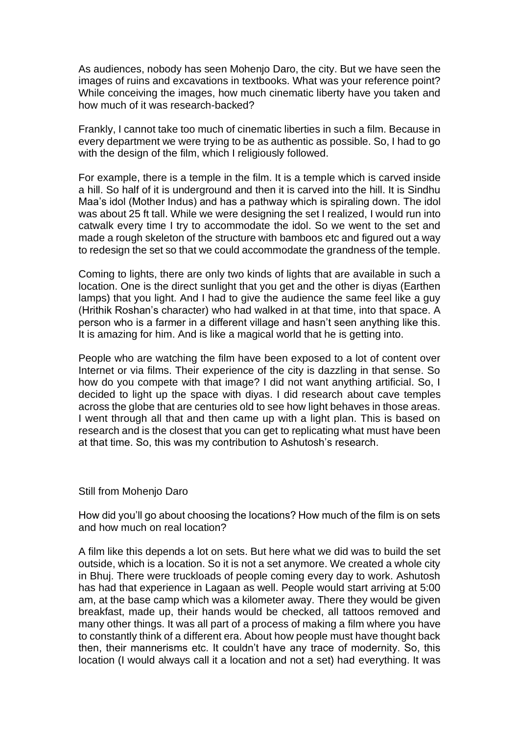As audiences, nobody has seen Mohenjo Daro, the city. But we have seen the images of ruins and excavations in textbooks. What was your reference point? While conceiving the images, how much cinematic liberty have you taken and how much of it was research-backed?

Frankly, I cannot take too much of cinematic liberties in such a film. Because in every department we were trying to be as authentic as possible. So, I had to go with the design of the film, which I religiously followed.

For example, there is a temple in the film. It is a temple which is carved inside a hill. So half of it is underground and then it is carved into the hill. It is Sindhu Maa's idol (Mother Indus) and has a pathway which is spiraling down. The idol was about 25 ft tall. While we were designing the set I realized, I would run into catwalk every time I try to accommodate the idol. So we went to the set and made a rough skeleton of the structure with bamboos etc and figured out a way to redesign the set so that we could accommodate the grandness of the temple.

Coming to lights, there are only two kinds of lights that are available in such a location. One is the direct sunlight that you get and the other is diyas (Earthen lamps) that you light. And I had to give the audience the same feel like a guy (Hrithik Roshan's character) who had walked in at that time, into that space. A person who is a farmer in a different village and hasn't seen anything like this. It is amazing for him. And is like a magical world that he is getting into.

People who are watching the film have been exposed to a lot of content over Internet or via films. Their experience of the city is dazzling in that sense. So how do you compete with that image? I did not want anything artificial. So, I decided to light up the space with diyas. I did research about cave temples across the globe that are centuries old to see how light behaves in those areas. I went through all that and then came up with a light plan. This is based on research and is the closest that you can get to replicating what must have been at that time. So, this was my contribution to Ashutosh's research.

## Still from Mohenjo Daro

How did you'll go about choosing the locations? How much of the film is on sets and how much on real location?

A film like this depends a lot on sets. But here what we did was to build the set outside, which is a location. So it is not a set anymore. We created a whole city in Bhuj. There were truckloads of people coming every day to work. Ashutosh has had that experience in Lagaan as well. People would start arriving at 5:00 am, at the base camp which was a kilometer away. There they would be given breakfast, made up, their hands would be checked, all tattoos removed and many other things. It was all part of a process of making a film where you have to constantly think of a different era. About how people must have thought back then, their mannerisms etc. It couldn't have any trace of modernity. So, this location (I would always call it a location and not a set) had everything. It was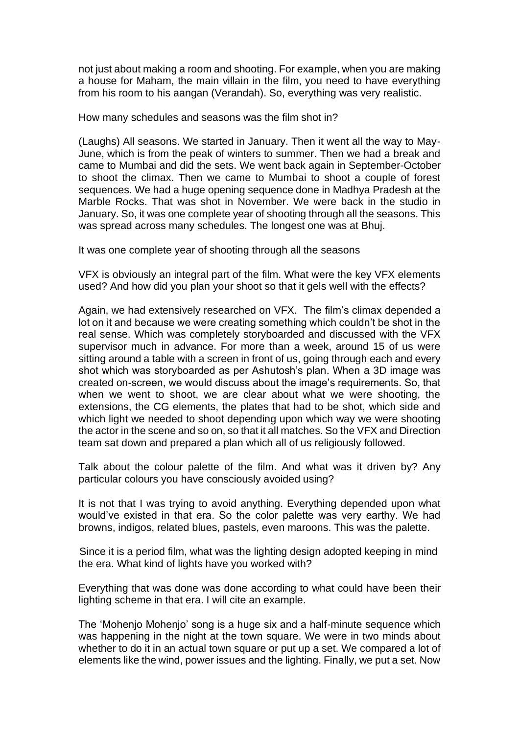not just about making a room and shooting. For example, when you are making a house for Maham, the main villain in the film, you need to have everything from his room to his aangan (Verandah). So, everything was very realistic.

How many schedules and seasons was the film shot in?

(Laughs) All seasons. We started in January. Then it went all the way to May-June, which is from the peak of winters to summer. Then we had a break and came to Mumbai and did the sets. We went back again in September-October to shoot the climax. Then we came to Mumbai to shoot a couple of forest sequences. We had a huge opening sequence done in Madhya Pradesh at the Marble Rocks. That was shot in November. We were back in the studio in January. So, it was one complete year of shooting through all the seasons. This was spread across many schedules. The longest one was at Bhuj.

It was one complete year of shooting through all the seasons

VFX is obviously an integral part of the film. What were the key VFX elements used? And how did you plan your shoot so that it gels well with the effects?

Again, we had extensively researched on VFX. The film's climax depended a lot on it and because we were creating something which couldn't be shot in the real sense. Which was completely storyboarded and discussed with the VFX supervisor much in advance. For more than a week, around 15 of us were sitting around a table with a screen in front of us, going through each and every shot which was storyboarded as per Ashutosh's plan. When a 3D image was created on-screen, we would discuss about the image's requirements. So, that when we went to shoot, we are clear about what we were shooting, the extensions, the CG elements, the plates that had to be shot, which side and which light we needed to shoot depending upon which way we were shooting the actor in the scene and so on, so that it all matches. So the VFX and Direction team sat down and prepared a plan which all of us religiously followed.

Talk about the colour palette of the film. And what was it driven by? Any particular colours you have consciously avoided using?

It is not that I was trying to avoid anything. Everything depended upon what would've existed in that era. So the color palette was very earthy. We had browns, indigos, related blues, pastels, even maroons. This was the palette.

Since it is a period film, what was the lighting design adopted keeping in mind the era. What kind of lights have you worked with?

Everything that was done was done according to what could have been their lighting scheme in that era. I will cite an example.

The 'Mohenjo Mohenjo' song is a huge six and a half-minute sequence which was happening in the night at the town square. We were in two minds about whether to do it in an actual town square or put up a set. We compared a lot of elements like the wind, power issues and the lighting. Finally, we put a set. Now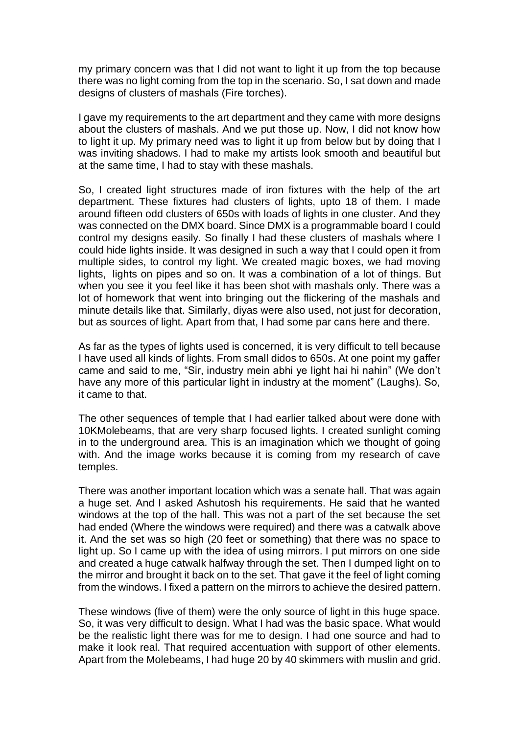my primary concern was that I did not want to light it up from the top because there was no light coming from the top in the scenario. So, I sat down and made designs of clusters of mashals (Fire torches).

I gave my requirements to the art department and they came with more designs about the clusters of mashals. And we put those up. Now, I did not know how to light it up. My primary need was to light it up from below but by doing that I was inviting shadows. I had to make my artists look smooth and beautiful but at the same time, I had to stay with these mashals.

So, I created light structures made of iron fixtures with the help of the art department. These fixtures had clusters of lights, upto 18 of them. I made around fifteen odd clusters of 650s with loads of lights in one cluster. And they was connected on the DMX board. Since DMX is a programmable board I could control my designs easily. So finally I had these clusters of mashals where I could hide lights inside. It was designed in such a way that I could open it from multiple sides, to control my light. We created magic boxes, we had moving lights, lights on pipes and so on. It was a combination of a lot of things. But when you see it you feel like it has been shot with mashals only. There was a lot of homework that went into bringing out the flickering of the mashals and minute details like that. Similarly, diyas were also used, not just for decoration, but as sources of light. Apart from that, I had some par cans here and there.

As far as the types of lights used is concerned, it is very difficult to tell because I have used all kinds of lights. From small didos to 650s. At one point my gaffer came and said to me, "Sir, industry mein abhi ye light hai hi nahin" (We don't have any more of this particular light in industry at the moment" (Laughs). So, it came to that.

The other sequences of temple that I had earlier talked about were done with 10KMolebeams, that are very sharp focused lights. I created sunlight coming in to the underground area. This is an imagination which we thought of going with. And the image works because it is coming from my research of cave temples.

There was another important location which was a senate hall. That was again a huge set. And I asked Ashutosh his requirements. He said that he wanted windows at the top of the hall. This was not a part of the set because the set had ended (Where the windows were required) and there was a catwalk above it. And the set was so high (20 feet or something) that there was no space to light up. So I came up with the idea of using mirrors. I put mirrors on one side and created a huge catwalk halfway through the set. Then I dumped light on to the mirror and brought it back on to the set. That gave it the feel of light coming from the windows. I fixed a pattern on the mirrors to achieve the desired pattern.

These windows (five of them) were the only source of light in this huge space. So, it was very difficult to design. What I had was the basic space. What would be the realistic light there was for me to design. I had one source and had to make it look real. That required accentuation with support of other elements. Apart from the Molebeams, I had huge 20 by 40 skimmers with muslin and grid.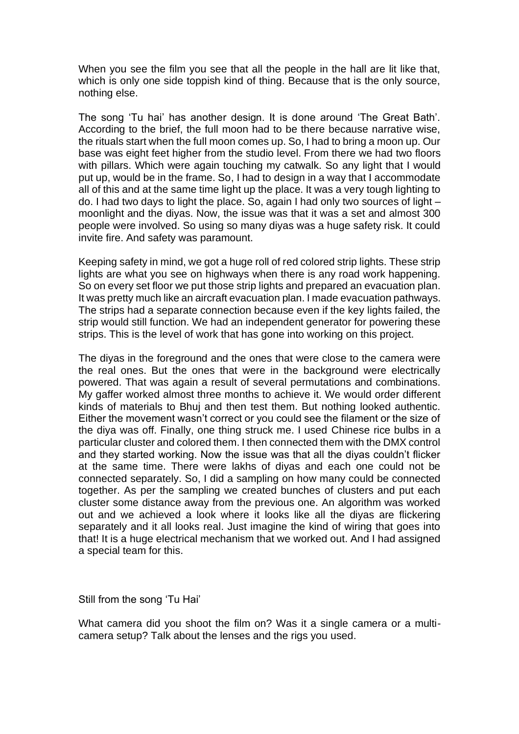When you see the film you see that all the people in the hall are lit like that, which is only one side toppish kind of thing. Because that is the only source, nothing else.

The song 'Tu hai' has another design. It is done around 'The Great Bath'. According to the brief, the full moon had to be there because narrative wise, the rituals start when the full moon comes up. So, I had to bring a moon up. Our base was eight feet higher from the studio level. From there we had two floors with pillars. Which were again touching my catwalk. So any light that I would put up, would be in the frame. So, I had to design in a way that I accommodate all of this and at the same time light up the place. It was a very tough lighting to do. I had two days to light the place. So, again I had only two sources of light – moonlight and the diyas. Now, the issue was that it was a set and almost 300 people were involved. So using so many diyas was a huge safety risk. It could invite fire. And safety was paramount.

Keeping safety in mind, we got a huge roll of red colored strip lights. These strip lights are what you see on highways when there is any road work happening. So on every set floor we put those strip lights and prepared an evacuation plan. It was pretty much like an aircraft evacuation plan. I made evacuation pathways. The strips had a separate connection because even if the key lights failed, the strip would still function. We had an independent generator for powering these strips. This is the level of work that has gone into working on this project.

The diyas in the foreground and the ones that were close to the camera were the real ones. But the ones that were in the background were electrically powered. That was again a result of several permutations and combinations. My gaffer worked almost three months to achieve it. We would order different kinds of materials to Bhuj and then test them. But nothing looked authentic. Either the movement wasn't correct or you could see the filament or the size of the diya was off. Finally, one thing struck me. I used Chinese rice bulbs in a particular cluster and colored them. I then connected them with the DMX control and they started working. Now the issue was that all the diyas couldn't flicker at the same time. There were lakhs of diyas and each one could not be connected separately. So, I did a sampling on how many could be connected together. As per the sampling we created bunches of clusters and put each cluster some distance away from the previous one. An algorithm was worked out and we achieved a look where it looks like all the diyas are flickering separately and it all looks real. Just imagine the kind of wiring that goes into that! It is a huge electrical mechanism that we worked out. And I had assigned a special team for this.

Still from the song 'Tu Hai'

What camera did you shoot the film on? Was it a single camera or a multicamera setup? Talk about the lenses and the rigs you used.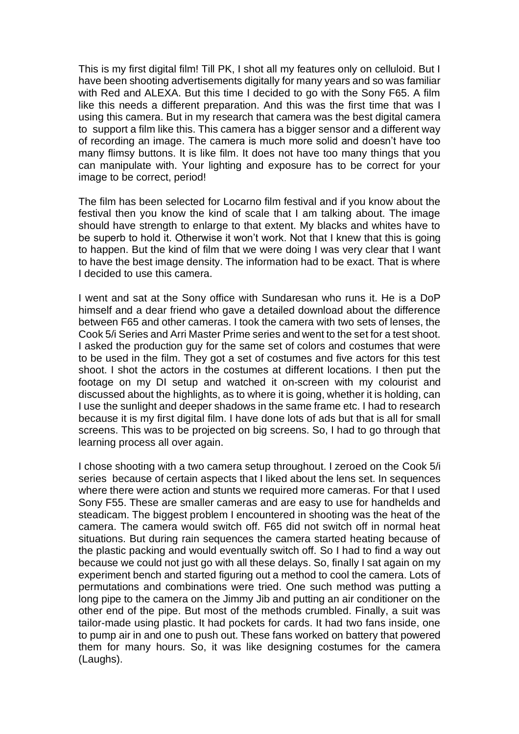This is my first digital film! Till PK, I shot all my features only on celluloid. But I have been shooting advertisements digitally for many years and so was familiar with Red and ALEXA. But this time I decided to go with the Sony F65. A film like this needs a different preparation. And this was the first time that was I using this camera. But in my research that camera was the best digital camera to support a film like this. This camera has a bigger sensor and a different way of recording an image. The camera is much more solid and doesn't have too many flimsy buttons. It is like film. It does not have too many things that you can manipulate with. Your lighting and exposure has to be correct for your image to be correct, period!

The film has been selected for Locarno film festival and if you know about the festival then you know the kind of scale that I am talking about. The image should have strength to enlarge to that extent. My blacks and whites have to be superb to hold it. Otherwise it won't work. Not that I knew that this is going to happen. But the kind of film that we were doing I was very clear that I want to have the best image density. The information had to be exact. That is where I decided to use this camera.

I went and sat at the Sony office with Sundaresan who runs it. He is a DoP himself and a dear friend who gave a detailed download about the difference between F65 and other cameras. I took the camera with two sets of lenses, the Cook 5/i Series and Arri Master Prime series and went to the set for a test shoot. I asked the production guy for the same set of colors and costumes that were to be used in the film. They got a set of costumes and five actors for this test shoot. I shot the actors in the costumes at different locations. I then put the footage on my DI setup and watched it on-screen with my colourist and discussed about the highlights, as to where it is going, whether it is holding, can I use the sunlight and deeper shadows in the same frame etc. I had to research because it is my first digital film. I have done lots of ads but that is all for small screens. This was to be projected on big screens. So, I had to go through that learning process all over again.

I chose shooting with a two camera setup throughout. I zeroed on the Cook 5/i series because of certain aspects that I liked about the lens set. In sequences where there were action and stunts we required more cameras. For that I used Sony F55. These are smaller cameras and are easy to use for handhelds and steadicam. The biggest problem I encountered in shooting was the heat of the camera. The camera would switch off. F65 did not switch off in normal heat situations. But during rain sequences the camera started heating because of the plastic packing and would eventually switch off. So I had to find a way out because we could not just go with all these delays. So, finally I sat again on my experiment bench and started figuring out a method to cool the camera. Lots of permutations and combinations were tried. One such method was putting a long pipe to the camera on the Jimmy Jib and putting an air conditioner on the other end of the pipe. But most of the methods crumbled. Finally, a suit was tailor-made using plastic. It had pockets for cards. It had two fans inside, one to pump air in and one to push out. These fans worked on battery that powered them for many hours. So, it was like designing costumes for the camera (Laughs).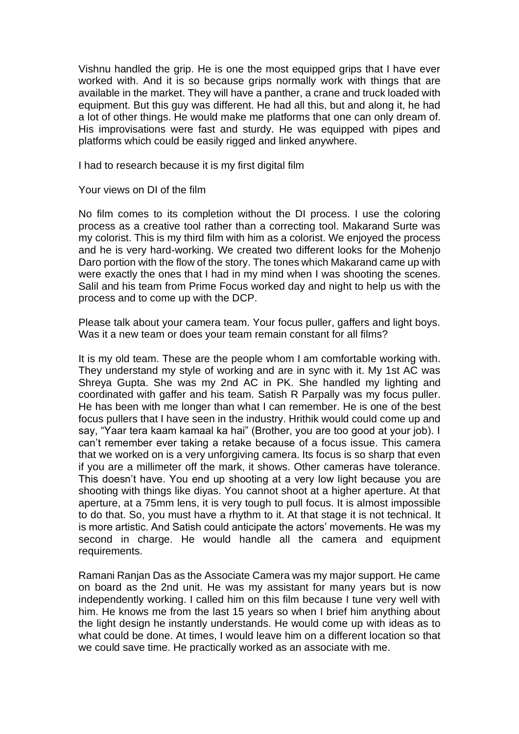Vishnu handled the grip. He is one the most equipped grips that I have ever worked with. And it is so because grips normally work with things that are available in the market. They will have a panther, a crane and truck loaded with equipment. But this guy was different. He had all this, but and along it, he had a lot of other things. He would make me platforms that one can only dream of. His improvisations were fast and sturdy. He was equipped with pipes and platforms which could be easily rigged and linked anywhere.

I had to research because it is my first digital film

Your views on DI of the film

No film comes to its completion without the DI process. I use the coloring process as a creative tool rather than a correcting tool. Makarand Surte was my colorist. This is my third film with him as a colorist. We enjoyed the process and he is very hard-working. We created two different looks for the Mohenjo Daro portion with the flow of the story. The tones which Makarand came up with were exactly the ones that I had in my mind when I was shooting the scenes. Salil and his team from Prime Focus worked day and night to help us with the process and to come up with the DCP.

Please talk about your camera team. Your focus puller, gaffers and light boys. Was it a new team or does your team remain constant for all films?

It is my old team. These are the people whom I am comfortable working with. They understand my style of working and are in sync with it. My 1st AC was Shreya Gupta. She was my 2nd AC in PK. She handled my lighting and coordinated with gaffer and his team. Satish R Parpally was my focus puller. He has been with me longer than what I can remember. He is one of the best focus pullers that I have seen in the industry. Hrithik would could come up and say, "Yaar tera kaam kamaal ka hai" (Brother, you are too good at your job). I can't remember ever taking a retake because of a focus issue. This camera that we worked on is a very unforgiving camera. Its focus is so sharp that even if you are a millimeter off the mark, it shows. Other cameras have tolerance. This doesn't have. You end up shooting at a very low light because you are shooting with things like diyas. You cannot shoot at a higher aperture. At that aperture, at a 75mm lens, it is very tough to pull focus. It is almost impossible to do that. So, you must have a rhythm to it. At that stage it is not technical. It is more artistic. And Satish could anticipate the actors' movements. He was my second in charge. He would handle all the camera and equipment requirements.

Ramani Ranjan Das as the Associate Camera was my major support. He came on board as the 2nd unit. He was my assistant for many years but is now independently working. I called him on this film because I tune very well with him. He knows me from the last 15 years so when I brief him anything about the light design he instantly understands. He would come up with ideas as to what could be done. At times, I would leave him on a different location so that we could save time. He practically worked as an associate with me.